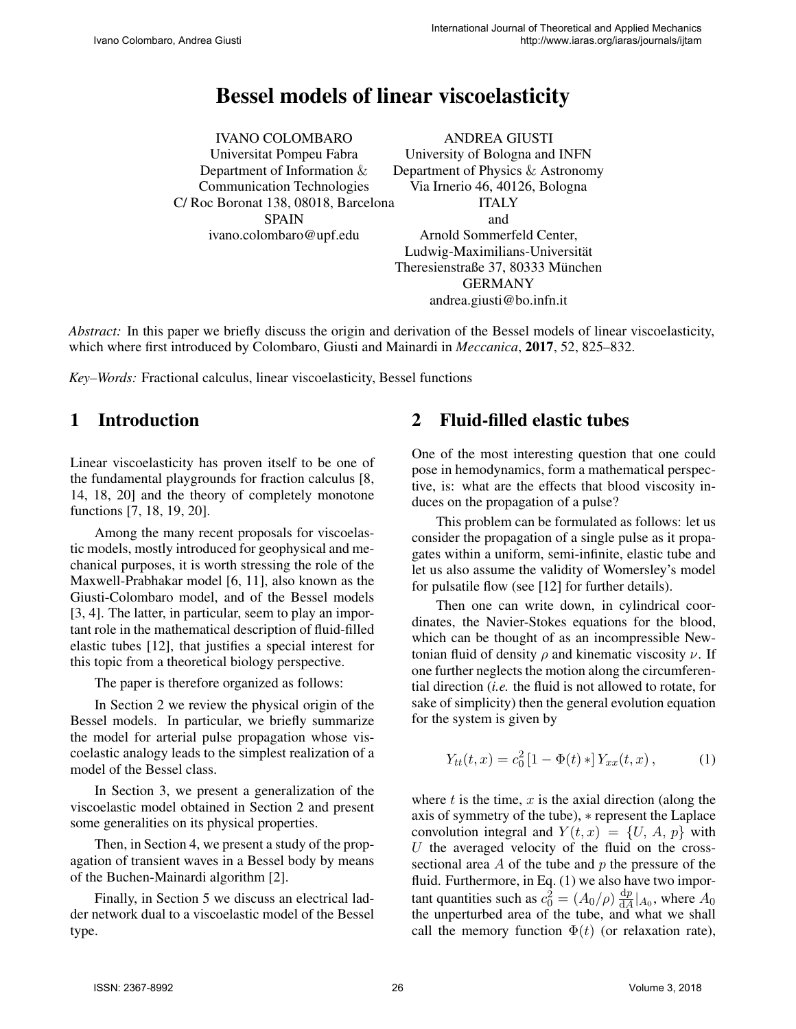# Bessel models of linear viscoelasticity

IVANO COLOMBARO Universitat Pompeu Fabra Department of Information & Communication Technologies C/ Roc Boronat 138, 08018, Barcelona SPAIN ivano.colombaro@upf.edu

ANDREA GIUSTI University of Bologna and INFN Department of Physics & Astronomy Via Irnerio 46, 40126, Bologna ITALY and Arnold Sommerfeld Center, Ludwig-Maximilians-Universität Theresienstraße 37, 80333 München GERMANY andrea.giusti@bo.infn.it

*Abstract:* In this paper we briefly discuss the origin and derivation of the Bessel models of linear viscoelasticity, which where first introduced by Colombaro, Giusti and Mainardi in *Meccanica*, 2017, 52, 825–832.

*Key–Words:* Fractional calculus, linear viscoelasticity, Bessel functions

# 1 Introduction

Linear viscoelasticity has proven itself to be one of the fundamental playgrounds for fraction calculus [8, 14, 18, 20] and the theory of completely monotone functions [7, 18, 19, 20].

Among the many recent proposals for viscoelastic models, mostly introduced for geophysical and mechanical purposes, it is worth stressing the role of the Maxwell-Prabhakar model [6, 11], also known as the Giusti-Colombaro model, and of the Bessel models [3, 4]. The latter, in particular, seem to play an important role in the mathematical description of fluid-filled elastic tubes [12], that justifies a special interest for this topic from a theoretical biology perspective.

The paper is therefore organized as follows:

In Section 2 we review the physical origin of the Bessel models. In particular, we briefly summarize the model for arterial pulse propagation whose viscoelastic analogy leads to the simplest realization of a model of the Bessel class.

In Section 3, we present a generalization of the viscoelastic model obtained in Section 2 and present some generalities on its physical properties.

Then, in Section 4, we present a study of the propagation of transient waves in a Bessel body by means of the Buchen-Mainardi algorithm [2].

Finally, in Section 5 we discuss an electrical ladder network dual to a viscoelastic model of the Bessel type.

## 2 Fluid-filled elastic tubes

One of the most interesting question that one could pose in hemodynamics, form a mathematical perspective, is: what are the effects that blood viscosity induces on the propagation of a pulse?

This problem can be formulated as follows: let us consider the propagation of a single pulse as it propagates within a uniform, semi-infinite, elastic tube and let us also assume the validity of Womersley's model for pulsatile flow (see [12] for further details).

Then one can write down, in cylindrical coordinates, the Navier-Stokes equations for the blood, which can be thought of as an incompressible Newtonian fluid of density  $\rho$  and kinematic viscosity  $\nu$ . If one further neglects the motion along the circumferential direction (*i.e.* the fluid is not allowed to rotate, for sake of simplicity) then the general evolution equation for the system is given by

$$
Y_{tt}(t,x) = c_0^2 [1 - \Phi(t) *] Y_{xx}(t,x), \qquad (1)
$$

where  $t$  is the time,  $x$  is the axial direction (along the axis of symmetry of the tube), ∗ represent the Laplace convolution integral and  $Y(t, x) = \{U, A, p\}$  with  $U$  the averaged velocity of the fluid on the crosssectional area  $A$  of the tube and  $p$  the pressure of the fluid. Furthermore, in Eq. (1) we also have two important quantities such as  $c_0^2 = (A_0/\rho) \frac{dp}{dA}$  $\frac{dp}{dA}|_{A_0}$ , where  $A_0$ the unperturbed area of the tube, and what we shall call the memory function  $\Phi(t)$  (or relaxation rate),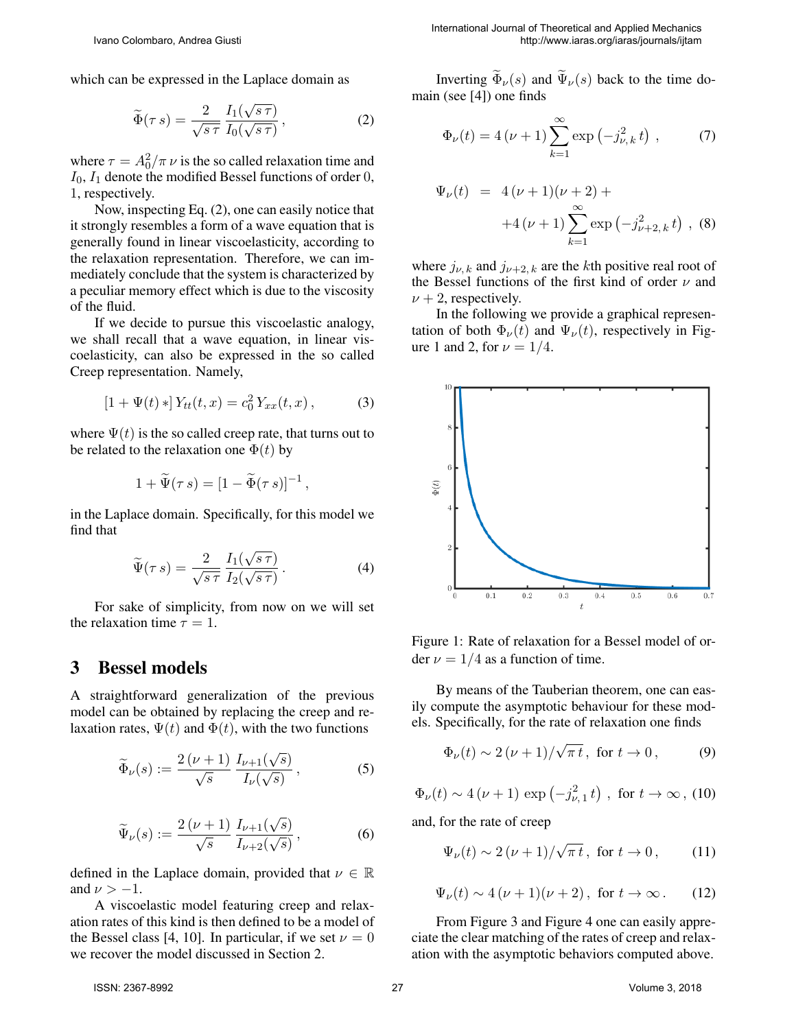which can be expressed in the Laplace domain as

$$
\widetilde{\Phi}(\tau s) = \frac{2}{\sqrt{s\,\tau}} \frac{I_1(\sqrt{s\,\tau})}{I_0(\sqrt{s\,\tau})},\tag{2}
$$

where  $\tau = A_0^2/\pi \nu$  is the so called relaxation time and  $I_0$ ,  $I_1$  denote the modified Bessel functions of order 0, 1, respectively.

Now, inspecting Eq. (2), one can easily notice that it strongly resembles a form of a wave equation that is generally found in linear viscoelasticity, according to the relaxation representation. Therefore, we can immediately conclude that the system is characterized by a peculiar memory effect which is due to the viscosity of the fluid.

If we decide to pursue this viscoelastic analogy, we shall recall that a wave equation, in linear viscoelasticity, can also be expressed in the so called Creep representation. Namely,

$$
[1 + \Psi(t) *] Y_{tt}(t, x) = c_0^2 Y_{xx}(t, x), \qquad (3)
$$

where  $\Psi(t)$  is the so called creep rate, that turns out to be related to the relaxation one  $\Phi(t)$  by

$$
1+\widetilde{\Psi}(\tau s)=[1-\widetilde{\Phi}(\tau s)]^{-1},
$$

in the Laplace domain. Specifically, for this model we find that

$$
\widetilde{\Psi}(\tau s) = \frac{2}{\sqrt{s\,\tau}} \frac{I_1(\sqrt{s\,\tau})}{I_2(\sqrt{s\,\tau})} \,. \tag{4}
$$

For sake of simplicity, from now on we will set the relaxation time  $\tau = 1$ .

#### 3 Bessel models

A straightforward generalization of the previous model can be obtained by replacing the creep and relaxation rates,  $\Psi(t)$  and  $\Phi(t)$ , with the two functions

$$
\widetilde{\Phi}_{\nu}(s) := \frac{2(\nu+1)}{\sqrt{s}} \frac{I_{\nu+1}(\sqrt{s})}{I_{\nu}(\sqrt{s})},\tag{5}
$$

$$
\widetilde{\Psi}_{\nu}(s) := \frac{2(\nu+1)}{\sqrt{s}} \frac{I_{\nu+1}(\sqrt{s})}{I_{\nu+2}(\sqrt{s})},\tag{6}
$$

defined in the Laplace domain, provided that  $\nu \in \mathbb{R}$ and  $\nu > -1$ .

A viscoelastic model featuring creep and relaxation rates of this kind is then defined to be a model of the Bessel class [4, 10]. In particular, if we set  $\nu = 0$ we recover the model discussed in Section 2.

Inverting  $\widetilde{\Phi}_{\nu}(s)$  and  $\widetilde{\Psi}_{\nu}(s)$  back to the time domain (see [4]) one finds

$$
\Phi_{\nu}(t) = 4(\nu + 1) \sum_{k=1}^{\infty} \exp(-j_{\nu,k}^{2} t) , \qquad (7)
$$

$$
\Psi_{\nu}(t) = 4(\nu + 1)(\nu + 2) +
$$
  
+4(\nu + 1)\sum\_{k=1}^{\infty} \exp(-j\_{\nu+2,k}^{2} t), (8)

where  $j_{\nu, k}$  and  $j_{\nu+2, k}$  are the kth positive real root of the Bessel functions of the first kind of order  $\nu$  and  $\nu + 2$ , respectively.

In the following we provide a graphical representation of both  $\Phi_{\nu}(t)$  and  $\Psi_{\nu}(t)$ , respectively in Figure 1 and 2, for  $\nu = 1/4$ .



Figure 1: Rate of relaxation for a Bessel model of order  $\nu = 1/4$  as a function of time.

By means of the Tauberian theorem, one can easily compute the asymptotic behaviour for these models. Specifically, for the rate of relaxation one finds

$$
\Phi_{\nu}(t) \sim 2(\nu + 1)/\sqrt{\pi t}
$$
, for  $t \to 0$ , (9)

$$
\Phi_{\nu}(t) \sim 4 (\nu + 1) \exp \left(-j_{\nu,1}^2 t\right)
$$
, for  $t \to \infty$ , (10)

and, for the rate of creep

$$
\Psi_{\nu}(t) \sim 2(\nu + 1)/\sqrt{\pi t}, \text{ for } t \to 0, \qquad (11)
$$

$$
\Psi_{\nu}(t) \sim 4\left(\nu + 1\right)\left(\nu + 2\right), \text{ for } t \to \infty. \tag{12}
$$

From Figure 3 and Figure 4 one can easily appreciate the clear matching of the rates of creep and relaxation with the asymptotic behaviors computed above.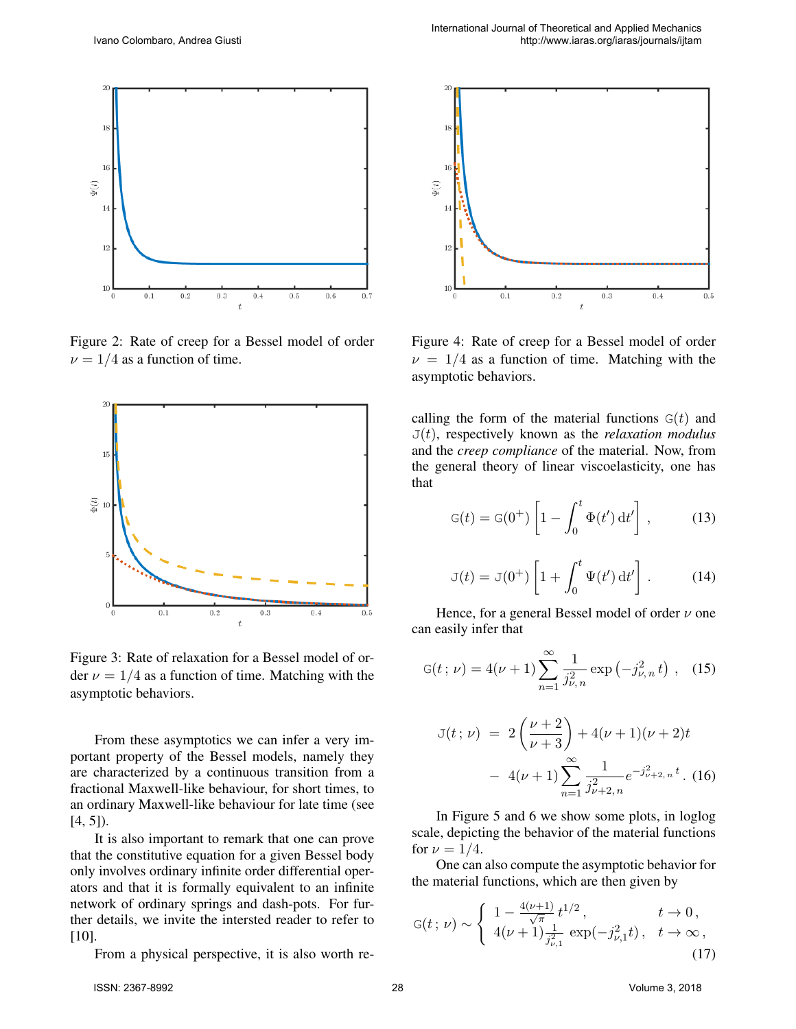

Figure 2: Rate of creep for a Bessel model of order  $\nu = 1/4$  as a function of time.



Figure 3: Rate of relaxation for a Bessel model of order  $\nu = 1/4$  as a function of time. Matching with the asymptotic behaviors.

From these asymptotics we can infer a very important property of the Bessel models, namely they are characterized by a continuous transition from a fractional Maxwell-like behaviour, for short times, to an ordinary Maxwell-like behaviour for late time (see  $[4, 5]$ ).

It is also important to remark that one can prove that the constitutive equation for a given Bessel body only involves ordinary infinite order differential operators and that it is formally equivalent to an infinite network of ordinary springs and dash-pots. For further details, we invite the intersted reader to refer to [10].

From a physical perspective, it is also worth re-



Figure 4: Rate of creep for a Bessel model of order  $\nu = 1/4$  as a function of time. Matching with the asymptotic behaviors.

calling the form of the material functions  $G(t)$  and  $J(t)$ , respectively known as the *relaxation modulus* and the *creep compliance* of the material. Now, from the general theory of linear viscoelasticity, one has that

$$
G(t) = G(0^+) \left[ 1 - \int_0^t \Phi(t') dt' \right], \qquad (13)
$$

$$
\mathbf{J}(t) = \mathbf{J}(0^+) \left[ 1 + \int_0^t \Psi(t') dt' \right]. \tag{14}
$$

Hence, for a general Bessel model of order  $\nu$  one can easily infer that

$$
G(t; \nu) = 4(\nu + 1) \sum_{n=1}^{\infty} \frac{1}{j_{\nu, n}^2} \exp(-j_{\nu, n}^2 t) , \quad (15)
$$

$$
J(t; \nu) = 2\left(\frac{\nu+2}{\nu+3}\right) + 4(\nu+1)(\nu+2)t
$$

$$
- 4(\nu+1)\sum_{n=1}^{\infty} \frac{1}{j_{\nu+2,n}^2} e^{-j_{\nu+2,n}^2 t} . \tag{16}
$$

In Figure 5 and 6 we show some plots, in loglog scale, depicting the behavior of the material functions for  $\nu = 1/4$ .

One can also compute the asymptotic behavior for the material functions, which are then given by

$$
G(t; \nu) \sim \begin{cases} 1 - \frac{4(\nu+1)}{\sqrt{\pi}} t^{1/2}, & t \to 0, \\ 4(\nu+1) \frac{1}{j_{\nu,1}^2} \exp(-j_{\nu,1}^2 t), & t \to \infty, \end{cases}
$$
(17)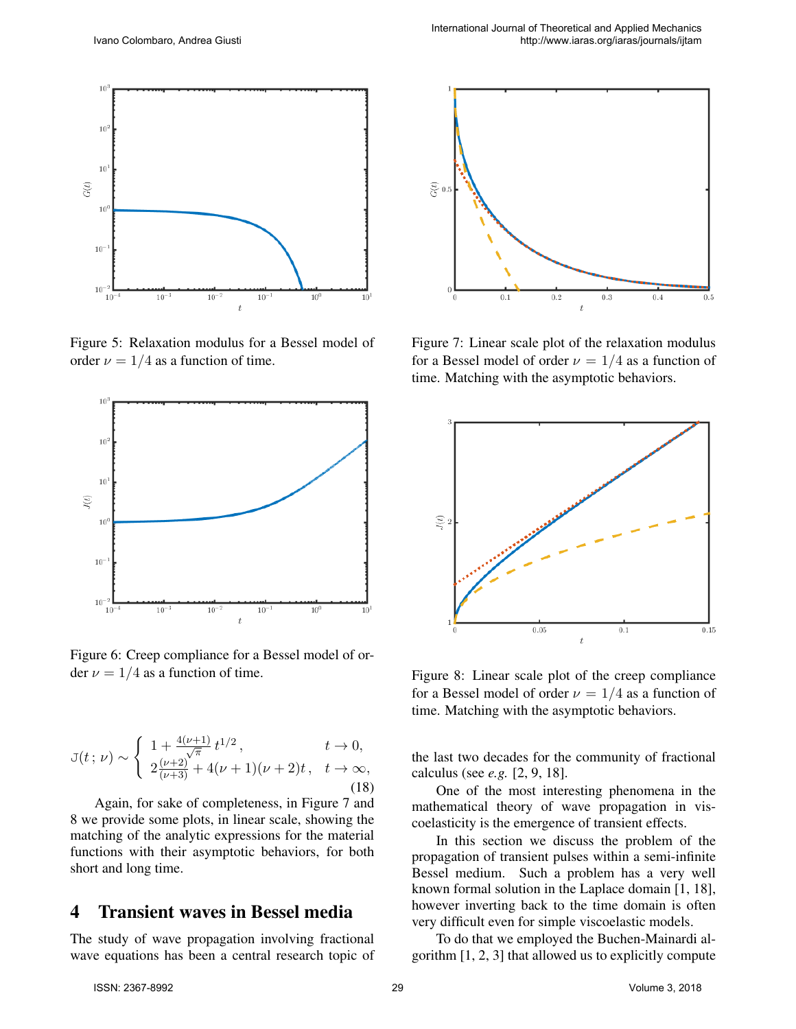

Figure 5: Relaxation modulus for a Bessel model of order  $\nu = 1/4$  as a function of time.



Figure 6: Creep compliance for a Bessel model of order  $\nu = 1/4$  as a function of time.

$$
J(t; \nu) \sim \begin{cases} 1 + \frac{4(\nu+1)}{\sqrt{\pi}} t^{1/2}, & t \to 0, \\ 2\frac{(\nu+2)}{(\nu+3)} + 4(\nu+1)(\nu+2)t, & t \to \infty, \end{cases}
$$
(18)

Again, for sake of completeness, in Figure 7 and 8 we provide some plots, in linear scale, showing the matching of the analytic expressions for the material functions with their asymptotic behaviors, for both short and long time.

## 4 Transient waves in Bessel media

The study of wave propagation involving fractional wave equations has been a central research topic of



Figure 7: Linear scale plot of the relaxation modulus for a Bessel model of order  $\nu = 1/4$  as a function of time. Matching with the asymptotic behaviors.



Figure 8: Linear scale plot of the creep compliance for a Bessel model of order  $\nu = 1/4$  as a function of time. Matching with the asymptotic behaviors.

the last two decades for the community of fractional calculus (see *e.g.* [2, 9, 18].

One of the most interesting phenomena in the mathematical theory of wave propagation in viscoelasticity is the emergence of transient effects.

In this section we discuss the problem of the propagation of transient pulses within a semi-infinite Bessel medium. Such a problem has a very well known formal solution in the Laplace domain [1, 18], however inverting back to the time domain is often very difficult even for simple viscoelastic models.

To do that we employed the Buchen-Mainardi algorithm [1, 2, 3] that allowed us to explicitly compute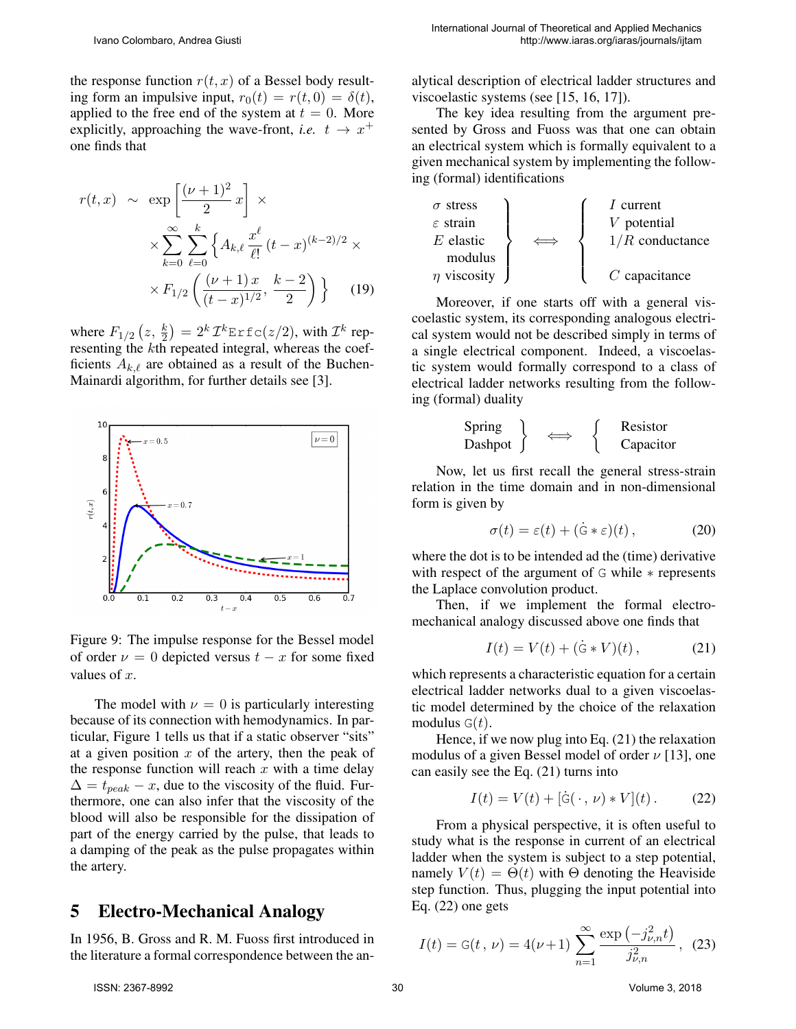the response function  $r(t, x)$  of a Bessel body resulting form an impulsive input,  $r_0(t) = r(t, 0) = \delta(t)$ , applied to the free end of the system at  $t = 0$ . More explicitly, approaching the wave-front, *i.e.*  $t \rightarrow x^+$ one finds that

$$
r(t,x) \sim \exp\left[\frac{(\nu+1)^2}{2}x\right] \times \times \sum_{k=0}^{\infty} \sum_{\ell=0}^{k} \left\{ A_{k,\ell} \frac{x^{\ell}}{\ell!} (t-x)^{(k-2)/2} \times \times F_{1/2} \left( \frac{(\nu+1)x}{(t-x)^{1/2}}, \frac{k-2}{2} \right) \right\}
$$
 (19)

where  $F_{1/2} (z, \frac{k}{2}) = 2^k \mathcal{I}^k$ Erfc $(z/2)$ , with  $\mathcal{I}^k$  representing the kth repeated integral, whereas the coefficients  $A_{k,\ell}$  are obtained as a result of the Buchen-Mainardi algorithm, for further details see [3].



Figure 9: The impulse response for the Bessel model of order  $\nu = 0$  depicted versus  $t - x$  for some fixed values of  $x$ .

The model with  $\nu = 0$  is particularly interesting because of its connection with hemodynamics. In particular, Figure 1 tells us that if a static observer "sits" at a given position  $x$  of the artery, then the peak of the response function will reach  $x$  with a time delay  $\Delta = t_{peak} - x$ , due to the viscosity of the fluid. Furthermore, one can also infer that the viscosity of the blood will also be responsible for the dissipation of part of the energy carried by the pulse, that leads to a damping of the peak as the pulse propagates within the artery.

## 5 Electro-Mechanical Analogy

In 1956, B. Gross and R. M. Fuoss first introduced in the literature a formal correspondence between the analytical description of electrical ladder structures and viscoelastic systems (see [15, 16, 17]).

The key idea resulting from the argument presented by Gross and Fuoss was that one can obtain an electrical system which is formally equivalent to a given mechanical system by implementing the following (formal) identifications

| $\sigma$ stress  | $I$ current       |                                                                                                                                   |
|------------------|-------------------|-----------------------------------------------------------------------------------------------------------------------------------|
| $E$ elastic      | $V$ potential     |                                                                                                                                   |
| $\eta$ viscosity | $\leftrightarrow$ | $\left\{\n \begin{array}{c}\n I$ current\n<br>\n <i>V</i> potential\n<br>\n <i>I/R</i> conductance\n<br>\n <i>C</i> capacitance\n |

Moreover, if one starts off with a general viscoelastic system, its corresponding analogous electrical system would not be described simply in terms of a single electrical component. Indeed, a viscoelastic system would formally correspond to a class of electrical ladder networks resulting from the following (formal) duality

Spring Dashpot ⇐⇒ Resistor Capacitor

Now, let us first recall the general stress-strain relation in the time domain and in non-dimensional form is given by

$$
\sigma(t) = \varepsilon(t) + (\dot{\mathbf{G}} * \varepsilon)(t), \qquad (20)
$$

where the dot is to be intended ad the (time) derivative with respect of the argument of G while ∗ represents the Laplace convolution product.

Then, if we implement the formal electromechanical analogy discussed above one finds that

$$
I(t) = V(t) + (\dot{G} * V)(t),
$$
 (21)

which represents a characteristic equation for a certain electrical ladder networks dual to a given viscoelastic model determined by the choice of the relaxation modulus  $G(t)$ .

Hence, if we now plug into Eq. (21) the relaxation modulus of a given Bessel model of order  $\nu$  [13], one can easily see the Eq. (21) turns into

$$
I(t) = V(t) + [\dot{G}(\cdot, \nu) * V](t).
$$
 (22)

From a physical perspective, it is often useful to study what is the response in current of an electrical ladder when the system is subject to a step potential, namely  $V(t) = \Theta(t)$  with  $\Theta$  denoting the Heaviside step function. Thus, plugging the input potential into Eq. (22) one gets

$$
I(t) = G(t, \nu) = 4(\nu + 1) \sum_{n=1}^{\infty} \frac{\exp(-j_{\nu,n}^2 t)}{j_{\nu,n}^2}, \tag{23}
$$